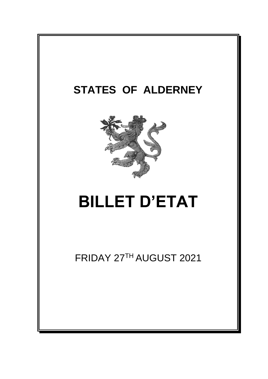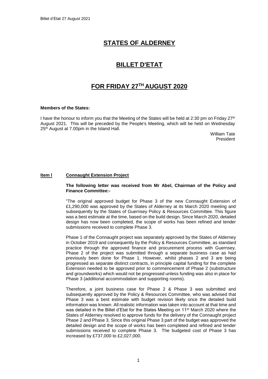# **STATES OF ALDERNEY**

# **BILLET D'ETAT**

# **FOR FRIDAY 27 TH AUGUST 2020**

#### **Members of the States:**

I have the honour to inform you that the Meeting of the States will be held at 2:30 pm on Friday 27<sup>th</sup> August 2021. This will be preceded by the People's Meeting, which will be held on Wednesday 25<sup>th</sup> August at 7.00pm in the Island Hall.

> William Tate President

### **Item l Connaught Extension Project**

### **The following letter was received from Mr Abel, Chairman of the Policy and Finance Committee:-**

"The original approved budget for Phase 3 of the new Connaught Extension of £1,290,000 was approved by the States of Alderney at its March 2020 meeting and subsequently by the States of Guernsey Policy & Resources Committee. This figure was a best estimate at the time, based on the build design. Since March 2020, detailed design has now been completed, the scope of works has been refined and tender submissions received to complete Phase 3.

Phase 1 of the Connaught project was separately approved by the States of Alderney in October 2019 and consequently by the Policy & Resources Committee, as standard practice through the approved finance and procurement process with Guernsey. Phase 2 of the project was submitted through a separate business case as had previously been done for Phase 1. However, whilst phases 2 and 3 are being progressed as separate distinct contracts, in principle capital funding for the complete Extension needed to be approved prior to commencement of Phase 2 (substructure and groundworks) which would not be progressed unless funding was also in place for Phase 3 (additional accommodation and supporting rooms).

Therefore, a joint business case for Phase 2 & Phase 3 was submitted and subsequently approved by the Policy & Resources Committee, who was advised that Phase 3 was a best estimate with budget revision likely once the detailed build information was known. All realistic information was taken into account at that time and was detailed in the Billet d'Etat for the States Meeting on 11<sup>th</sup> March 2020 where the States of Alderney resolved to approve funds for the delivery of the Connaught project Phase 2 and Phase 3. Since this original Phase 3 part of the budget was approved the detailed design and the scope of works has been completed and refined and tender submissions received to complete Phase 3. The budgeted cost of Phase 3 has increased by £737,000 to £2,027,000.